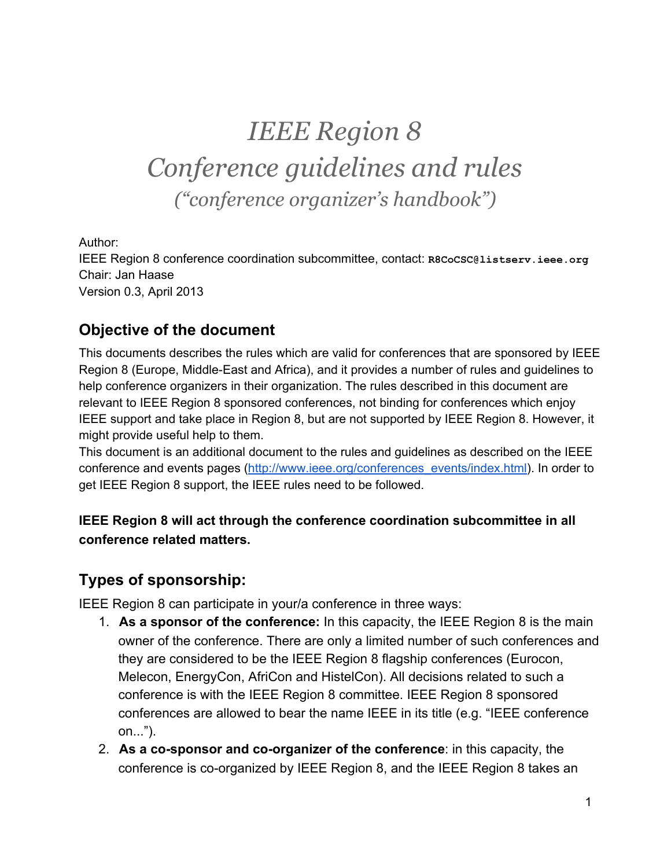# *IEEE Region 8 Conference guidelines and rules ("conference organizer's handbook")*

Author:

IEEE Region 8 conference coordination subcommittee, contact: **R8CoCSC@listserv.ieee.org** Chair: Jan Haase Version 0.3, April 2013

## **Objective of the document**

This documents describes the rules which are valid for conferences that are sponsored by IEEE Region 8 (Europe, Middle-East and Africa), and it provides a number of rules and guidelines to help conference organizers in their organization. The rules described in this document are relevant to IEEE Region 8 sponsored conferences, not binding for conferences which enjoy IEEE support and take place in Region 8, but are not supported by IEEE Region 8. However, it might provide useful help to them.

This document is an additional document to the rules and guidelines as described on the IEEE conference and events pages [\(http://www.ieee.org/conferences\\_events/index.html\)](http://www.google.com/url?q=http%3A%2F%2Fwww.ieee.org%2Fconferences_events%2Findex.html&sa=D&sntz=1&usg=AFQjCNEw6ZGRXB_b_VApHyC8ALBst-jwpQ). In order to get IEEE Region 8 support, the IEEE rules need to be followed.

## **IEEE Region 8 will act through the conference coordination subcommittee in all conference related matters.**

## **Types of sponsorship:**

IEEE Region 8 can participate in your/a conference in three ways:

- 1. **As a sponsor of the conference:** In this capacity, the IEEE Region 8 is the main owner of the conference. There are only a limited number of such conferences and they are considered to be the IEEE Region 8 flagship conferences (Eurocon, Melecon, EnergyCon, AfriCon and HistelCon). All decisions related to such a conference is with the IEEE Region 8 committee. IEEE Region 8 sponsored conferences are allowed to bear the name IEEE in its title (e.g. "IEEE conference on...").
- 2. **As a cosponsor and coorganizer of the conference**: in this capacity, the conference is co-organized by IEEE Region 8, and the IEEE Region 8 takes an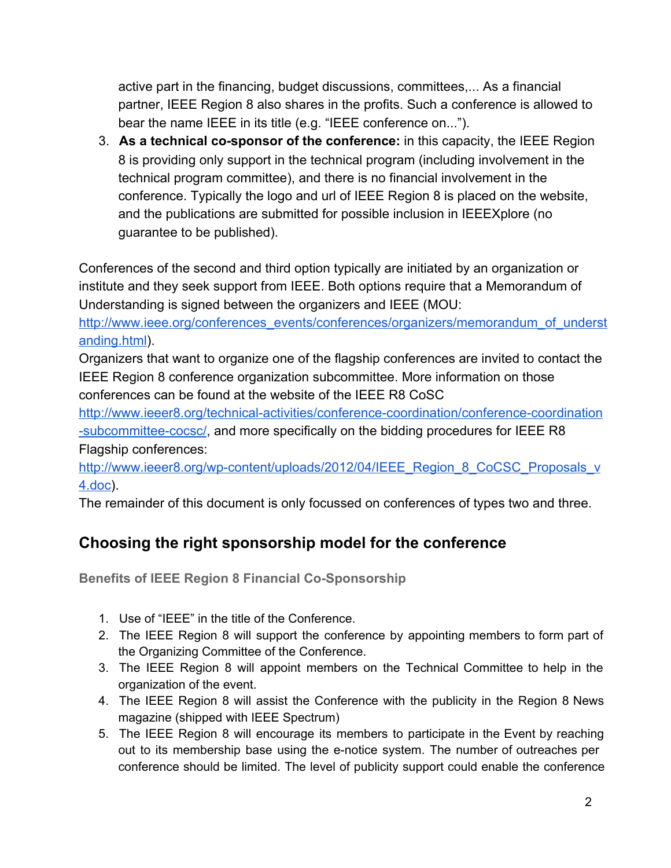active part in the financing, budget discussions, committees,... As a financial partner, IEEE Region 8 also shares in the profits. Such a conference is allowed to bear the name IEEE in its title (e.g. "IEEE conference on...").

3. **As a technical cosponsor of the conference:** in this capacity, the IEEE Region 8 is providing only support in the technical program (including involvement in the technical program committee), and there is no financial involvement in the conference. Typically the logo and url of IEEE Region 8 is placed on the website, and the publications are submitted for possible inclusion in IEEEXplore (no guarantee to be published).

Conferences of the second and third option typically are initiated by an organization or institute and they seek support from IEEE. Both options require that a Memorandum of Understanding is signed between the organizers and IEEE (MOU:

[http://www.ieee.org/conferences\\_events/conferences/organizers/memorandum\\_of\\_underst](http://www.google.com/url?q=http%3A%2F%2Fwww.ieee.org%2Fconferences_events%2Fconferences%2Forganizers%2Fmemorandum_of_understanding.html&sa=D&sntz=1&usg=AFQjCNGZ_qrTvw5rxX-SfyeGy_Wu08HZOg) [anding.html](http://www.google.com/url?q=http%3A%2F%2Fwww.ieee.org%2Fconferences_events%2Fconferences%2Forganizers%2Fmemorandum_of_understanding.html&sa=D&sntz=1&usg=AFQjCNGZ_qrTvw5rxX-SfyeGy_Wu08HZOg)).

Organizers that want to organize one of the flagship conferences are invited to contact the IEEE Region 8 conference organization subcommittee. More information on those conferences can be found at the website of the IEEE R8 CoSC

http://www.ieeer8.org/technical-activities/conference-coordination/conference-coordination -subcommittee-cocsc/, and more specifically on the bidding procedures for IEEE R8 Flagship conferences:

http://www.ieeer8.org/wp-content/uploads/2012/04/IEEE\_Region\_8\_CoCSC\_Proposals\_v [4.doc\)](http://www.google.com/url?q=http%3A%2F%2Fwww.ieeer8.org%2Fwp-content%2Fuploads%2F2012%2F04%2FIEEE_Region_8_CoCSC_Proposals_v4.doc&sa=D&sntz=1&usg=AFQjCNGnp-JuZm011FIe1bYmmfqU83WL-A).

The remainder of this document is only focussed on conferences of types two and three.

## **Choosing the right sponsorship model for the conference**

**Benefits of IEEE Region 8 Financial Co-Sponsorship** 

- 1. Use of "IEEE" in the title of the Conference.
- 2. The IEEE Region 8 will support the conference by appointing members to form part of the Organizing Committee of the Conference.
- 3. The IEEE Region 8 will appoint members on the Technical Committee to help in the organization of the event.
- 4. The IEEE Region 8 will assist the Conference with the publicity in the Region 8 News magazine (shipped with IEEE Spectrum)
- 5. The IEEE Region 8 will encourage its members to participate in the Event by reaching out to its membership base using the enotice system. The number of outreaches per conference should be limited. The level of publicity support could enable the conference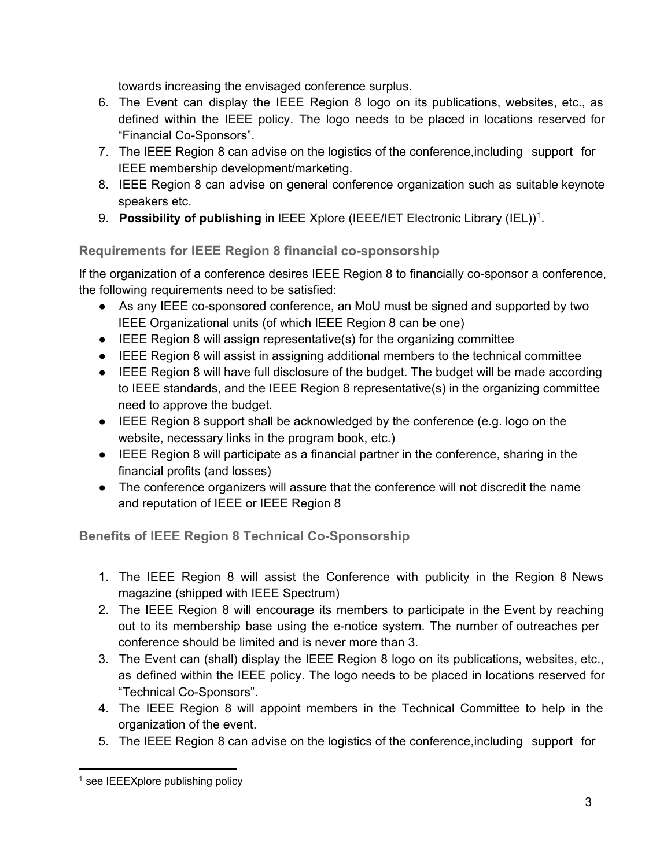towards increasing the envisaged conference surplus.

- 6. The Event can display the IEEE Region 8 logo on its publications, websites, etc., as defined within the IEEE policy. The logo needs to be placed in locations reserved for "Financial Co-Sponsors".
- 7. The IEEE Region 8 can advise on the logistics of the conference,including support for IEEE membership development/marketing.
- 8. IEEE Region 8 can advise on general conference organization such as suitable keynote speakers etc.
- 9. Possibility of publishing in IEEE Xplore (IEEE/IET Electronic Library (IEL))<sup>1</sup>.

**Requirements for IEEE Region 8 financial co-sponsorship** 

If the organization of a conference desires IEEE Region 8 to financially co-sponsor a conference, the following requirements need to be satisfied:

- As any IEEE co-sponsored conference, an MoU must be signed and supported by two IEEE Organizational units (of which IEEE Region 8 can be one)
- IEEE Region 8 will assign representative(s) for the organizing committee
- IEEE Region 8 will assist in assigning additional members to the technical committee
- IEEE Region 8 will have full disclosure of the budget. The budget will be made according to IEEE standards, and the IEEE Region 8 representative(s) in the organizing committee need to approve the budget.
- IEEE Region 8 support shall be acknowledged by the conference (e.g. logo on the website, necessary links in the program book, etc.)
- IEEE Region 8 will participate as a financial partner in the conference, sharing in the financial profits (and losses)
- The conference organizers will assure that the conference will not discredit the name and reputation of IEEE or IEEE Region 8

**Benefits of IEEE Region 8 Technical Co-Sponsorship** 

- 1. The IEEE Region 8 will assist the Conference with publicity in the Region 8 News magazine (shipped with IEEE Spectrum)
- 2. The IEEE Region 8 will encourage its members to participate in the Event by reaching out to its membership base using the e-notice system. The number of outreaches per conference should be limited and is never more than 3.
- 3. The Event can (shall) display the IEEE Region 8 logo on its publications, websites, etc., as defined within the IEEE policy. The logo needs to be placed in locations reserved for "Technical Co-Sponsors".
- 4. The IEEE Region 8 will appoint members in the Technical Committee to help in the organization of the event.
- 5. The IEEE Region 8 can advise on the logistics of the conference,including support for

 $1$  see IEEEXplore publishing policy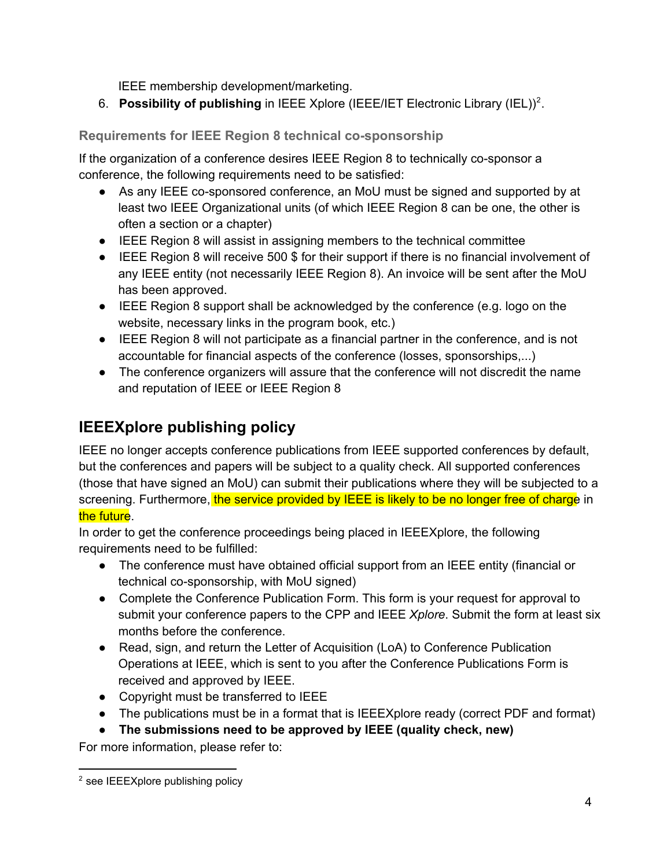IEEE membership development/marketing.

6. Possibility of publishing in IEEE Xplore (IEEE/IET Electronic Library (IEL))<sup>2</sup>.

## **Requirements for IEEE Region 8 technical cosponsorship**

If the organization of a conference desires IEEE Region 8 to technically co-sponsor a conference, the following requirements need to be satisfied:

- As any IEEE co-sponsored conference, an MoU must be signed and supported by at least two IEEE Organizational units (of which IEEE Region 8 can be one, the other is often a section or a chapter)
- IEEE Region 8 will assist in assigning members to the technical committee
- IEEE Region 8 will receive 500 \$ for their support if there is no financial involvement of any IEEE entity (not necessarily IEEE Region 8). An invoice will be sent after the MoU has been approved.
- IEEE Region 8 support shall be acknowledged by the conference (e.g. logo on the website, necessary links in the program book, etc.)
- IEEE Region 8 will not participate as a financial partner in the conference, and is not accountable for financial aspects of the conference (losses, sponsorships,...)
- The conference organizers will assure that the conference will not discredit the name and reputation of IEEE or IEEE Region 8

## **IEEEXplore publishing policy**

IEEE no longer accepts conference publications from IEEE supported conferences by default, but the conferences and papers will be subject to a quality check. All supported conferences (those that have signed an MoU) can submit their publications where they will be subjected to a screening. Furthermore, the service provided by IEEE is likely to be no longer free of charge in the future.

In order to get the conference proceedings being placed in IEEEXplore, the following requirements need to be fulfilled:

- The conference must have obtained official support from an IEEE entity (financial or technical co-sponsorship, with MoU signed)
- Complete the Conference Publication Form. This form is your request for approval to submit your conference papers to the CPP and IEEE *Xplore*. Submit the form at least six months before the conference.
- Read, sign, and return the Letter of Acquisition (LoA) to Conference Publication Operations at IEEE, which is sent to you after the Conference Publications Form is received and approved by IEEE.
- Copyright must be transferred to IEEE
- The publications must be in a format that is IEEEXplore ready (correct PDF and format)
- **The submissions need to be approved by IEEE (quality check, new)**

For more information, please refer to:

<sup>&</sup>lt;sup>2</sup> see IEEEXplore publishing policy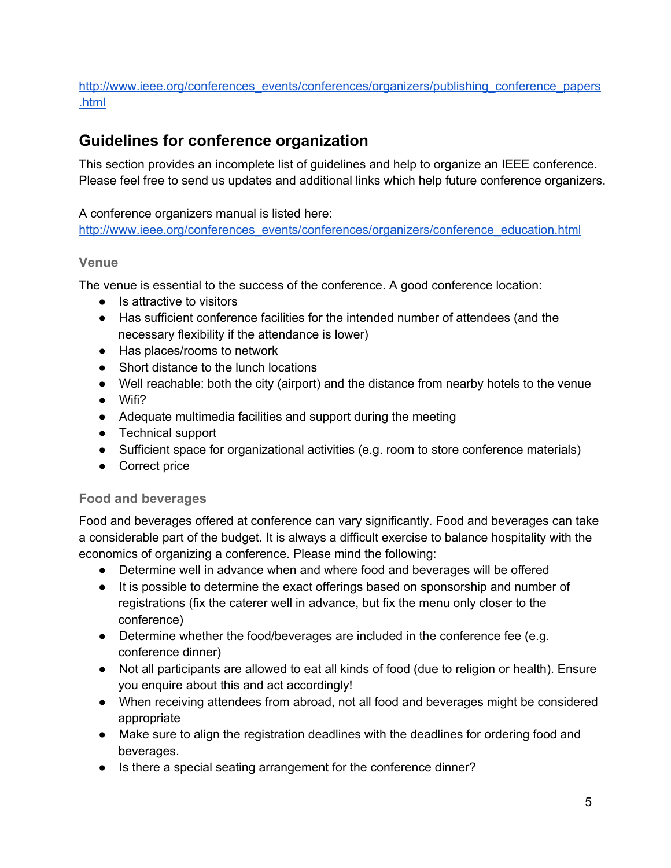#### [http://www.ieee.org/conferences\\_events/conferences/organizers/publishing\\_conference\\_papers](http://www.google.com/url?q=http%3A%2F%2Fwww.ieee.org%2Fconferences_events%2Fconferences%2Forganizers%2Fpublishing_conference_papers.html&sa=D&sntz=1&usg=AFQjCNFoW0QcjP8ULaN4RgW8glj9caTyhQ) [.html](http://www.google.com/url?q=http%3A%2F%2Fwww.ieee.org%2Fconferences_events%2Fconferences%2Forganizers%2Fpublishing_conference_papers.html&sa=D&sntz=1&usg=AFQjCNFoW0QcjP8ULaN4RgW8glj9caTyhQ)

## **Guidelines for conference organization**

This section provides an incomplete list of guidelines and help to organize an IEEE conference. Please feel free to send us updates and additional links which help future conference organizers.

A conference organizers manual is listed here:

[http://www.ieee.org/conferences\\_events/conferences/organizers/conference\\_education.html](http://www.google.com/url?q=http%3A%2F%2Fwww.ieee.org%2Fconferences_events%2Fconferences%2Forganizers%2Fconference_education.html&sa=D&sntz=1&usg=AFQjCNHbNCpNJMx0aCGKt8P3N5OINCARwQ)

### **Venue**

The venue is essential to the success of the conference. A good conference location:

- Is attractive to visitors
- Has sufficient conference facilities for the intended number of attendees (and the necessary flexibility if the attendance is lower)
- Has places/rooms to network
- Short distance to the lunch locations
- Well reachable: both the city (airport) and the distance from nearby hotels to the venue
- Wifi?
- Adequate multimedia facilities and support during the meeting
- Technical support
- Sufficient space for organizational activities (e.g. room to store conference materials)
- Correct price

### **Food and beverages**

Food and beverages offered at conference can vary significantly. Food and beverages can take a considerable part of the budget. It is always a difficult exercise to balance hospitality with the economics of organizing a conference. Please mind the following:

- Determine well in advance when and where food and beverages will be offered
- It is possible to determine the exact offerings based on sponsorship and number of registrations (fix the caterer well in advance, but fix the menu only closer to the conference)
- Determine whether the food/beverages are included in the conference fee (e.g. conference dinner)
- Not all participants are allowed to eat all kinds of food (due to religion or health). Ensure you enquire about this and act accordingly!
- When receiving attendees from abroad, not all food and beverages might be considered appropriate
- Make sure to align the registration deadlines with the deadlines for ordering food and beverages.
- Is there a special seating arrangement for the conference dinner?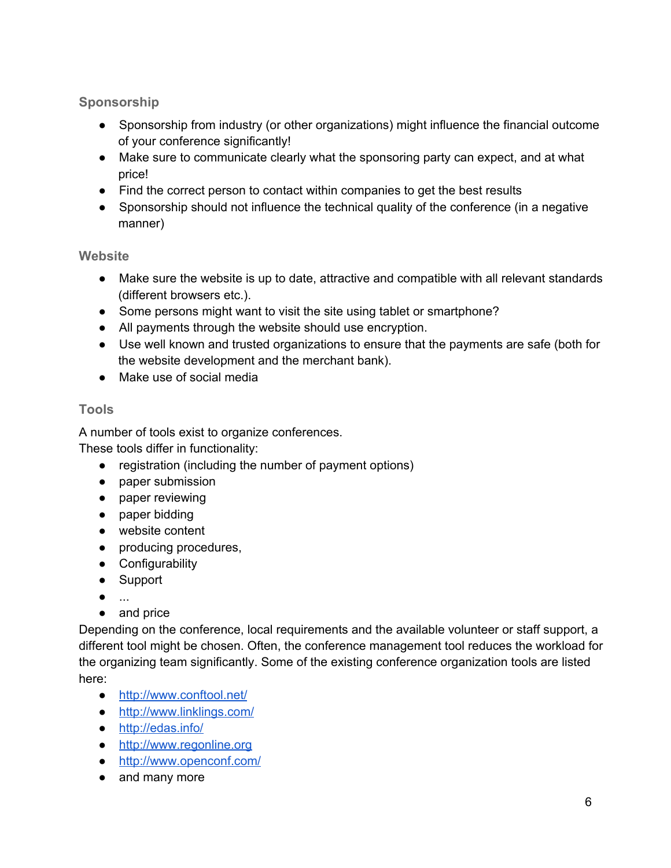## **Sponsorship**

- Sponsorship from industry (or other organizations) might influence the financial outcome of your conference significantly!
- Make sure to communicate clearly what the sponsoring party can expect, and at what price!
- Find the correct person to contact within companies to get the best results
- Sponsorship should not influence the technical quality of the conference (in a negative manner)

### **Website**

- Make sure the website is up to date, attractive and compatible with all relevant standards (different browsers etc.).
- Some persons might want to visit the site using tablet or smartphone?
- All payments through the website should use encryption.
- Use well known and trusted organizations to ensure that the payments are safe (both for the website development and the merchant bank).
- Make use of social media

## **Tools**

A number of tools exist to organize conferences.

These tools differ in functionality:

- registration (including the number of payment options)
- paper submission
- paper reviewing
- paper bidding
- website content
- producing procedures,
- Configurability
- Support
- ...
- and price

Depending on the conference, local requirements and the available volunteer or staff support, a different tool might be chosen. Often, the conference management tool reduces the workload for the organizing team significantly. Some of the existing conference organization tools are listed here:

- [http://www.conftool.net/](http://www.google.com/url?q=http%3A%2F%2Fwww.conftool.net%2F&sa=D&sntz=1&usg=AFQjCNHmXudOW3lIC54hyu8eK7k1YaQaPA)
- [http://www.linklings.com/](http://www.google.com/url?q=http%3A%2F%2Fwww.linklings.com%2F&sa=D&sntz=1&usg=AFQjCNHmZGK2TlBuy7di6o1VoNCxgqNUMg)
- [http://edas.info/](http://www.google.com/url?q=http%3A%2F%2Fedas.info%2F&sa=D&sntz=1&usg=AFQjCNGdR4M4dLNfTfecd-Zuu8zHJbRZtQ)
- [http://www.regonline.org](http://www.google.com/url?q=http%3A%2F%2Fwww.regonline.org&sa=D&sntz=1&usg=AFQjCNEMK6gCS7ExgKattUm-webHulIeJQ)
- [http://www.openconf.com/](http://www.google.com/url?q=http%3A%2F%2Fwww.openconf.com%2F&sa=D&sntz=1&usg=AFQjCNF0PLeAUHQjvY3SD9HpksZuHnhk4A)
- and many more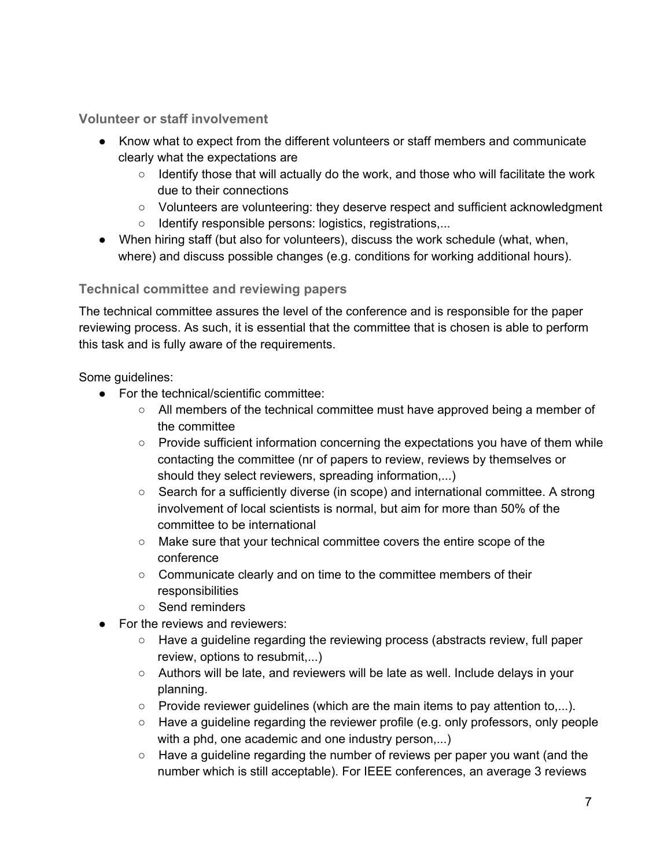#### **Volunteer or staff involvement**

- Know what to expect from the different volunteers or staff members and communicate clearly what the expectations are
	- Identify those that will actually do the work, and those who will facilitate the work due to their connections
	- Volunteers are volunteering: they deserve respect and sufficient acknowledgment
	- Identify responsible persons: logistics, registrations,...
- When hiring staff (but also for volunteers), discuss the work schedule (what, when, where) and discuss possible changes (e.g. conditions for working additional hours).

#### **Technical committee and reviewing papers**

The technical committee assures the level of the conference and is responsible for the paper reviewing process. As such, it is essential that the committee that is chosen is able to perform this task and is fully aware of the requirements.

Some guidelines:

- For the technical/scientific committee:
	- All members of the technical committee must have approved being a member of the committee
	- Provide sufficient information concerning the expectations you have of them while contacting the committee (nr of papers to review, reviews by themselves or should they select reviewers, spreading information,...)
	- Search for a sufficiently diverse (in scope) and international committee. A strong involvement of local scientists is normal, but aim for more than 50% of the committee to be international
	- Make sure that your technical committee covers the entire scope of the conference
	- Communicate clearly and on time to the committee members of their responsibilities
	- Send reminders
- For the reviews and reviewers:
	- Have a guideline regarding the reviewing process (abstracts review, full paper review, options to resubmit,...)
	- Authors will be late, and reviewers will be late as well. Include delays in your planning.
	- $\circ$  Provide reviewer guidelines (which are the main items to pay attention to,...).
	- Have a guideline regarding the reviewer profile (e.g. only professors, only people with a phd, one academic and one industry person,...)
	- Have a guideline regarding the number of reviews per paper you want (and the number which is still acceptable). For IEEE conferences, an average 3 reviews